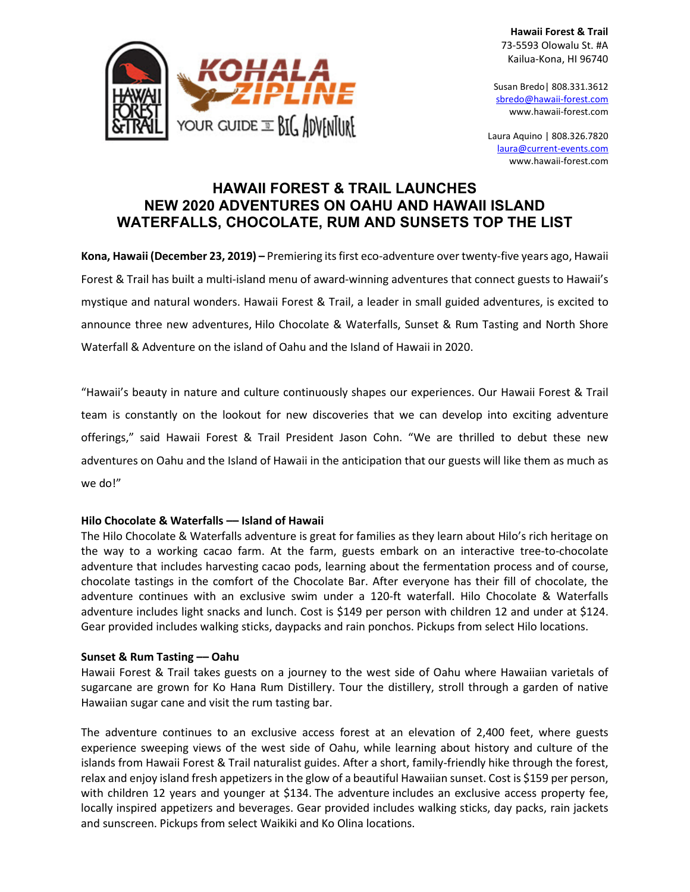**Hawaii Forest & Trail** 73-5593 Olowalu St. #A Kailua-Kona, HI 96740

Susan Bredo| 808.331.3612 [sbredo@hawaii-forest.com](mailto:sbredo@hawaii-forest.com) www.hawaii-forest.com

Laura Aquino | 808.326.7820 laura@current-events.com www.hawaii-forest.com

## **HAWAII FOREST & TRAIL LAUNCHES NEW 2020 ADVENTURES ON OAHU AND HAWAII ISLAND WATERFALLS, CHOCOLATE, RUM AND SUNSETS TOP THE LIST**

**Kona, Hawaii (December 23, 2019) –** Premiering its first eco-adventure over twenty-five years ago, Hawaii Forest & Trail has built a multi-island menu of award-winning adventures that connect guests to Hawaii's mystique and natural wonders. Hawaii Forest & Trail, a leader in small guided adventures, is excited to announce three new adventures, Hilo Chocolate & Waterfalls, Sunset & Rum Tasting and North Shore Waterfall & Adventure on the island of Oahu and the Island of Hawaii in 2020.

"Hawaii's beauty in nature and culture continuously shapes our experiences. Our Hawaii Forest & Trail team is constantly on the lookout for new discoveries that we can develop into exciting adventure offerings," said Hawaii Forest & Trail President Jason Cohn. "We are thrilled to debut these new adventures on Oahu and the Island of Hawaii in the anticipation that our guests will like them as much as we do!"

## **Hilo Chocolate & Waterfalls –– Island of Hawaii**

The Hilo Chocolate & Waterfalls adventure is great for families as they learn about Hilo's rich heritage on the way to a working cacao farm. At the farm, guests embark on an interactive tree-to-chocolate adventure that includes harvesting cacao pods, learning about the fermentation process and of course, chocolate tastings in the comfort of the Chocolate Bar. After everyone has their fill of chocolate, the adventure continues with an exclusive swim under a 120-ft waterfall. Hilo Chocolate & Waterfalls adventure includes light snacks and lunch. Cost is \$149 per person with children 12 and under at \$124. Gear provided includes walking sticks, daypacks and rain ponchos. Pickups from select Hilo locations.

## **Sunset & Rum Tasting –– Oahu**

Hawaii Forest & Trail takes guests on a journey to the west side of Oahu where Hawaiian varietals of sugarcane are grown for Ko Hana Rum Distillery. Tour the distillery, stroll through a garden of native Hawaiian sugar cane and visit the rum tasting bar.

The adventure continues to an exclusive access forest at an elevation of 2,400 feet, where guests experience sweeping views of the west side of Oahu, while learning about history and culture of the islands from Hawaii Forest & Trail naturalist guides. After a short, family-friendly hike through the forest, relax and enjoy island fresh appetizers in the glow of a beautiful Hawaiian sunset. Cost is \$159 per person, with children 12 years and younger at \$134. The adventure includes an exclusive access property fee, locally inspired appetizers and beverages. Gear provided includes walking sticks, day packs, rain jackets and sunscreen. Pickups from select Waikiki and Ko Olina locations.